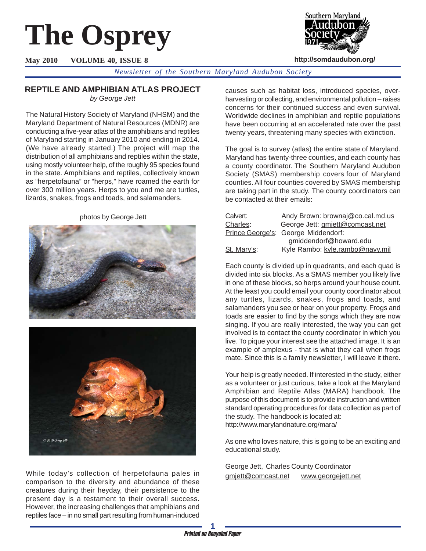# **The Osprey**

**May 2010 VOLUME 40, ISSUE 8**



**http://somdaudubon.org/**

*Newsletter of the Southern Maryland Audubon Society*

# **REPTILE AND AMPHIBIAN ATLAS PROJECT**

*by George Jett*

The Natural History Society of Maryland (NHSM) and the Maryland Department of Natural Resources (MDNR) are conducting a five-year atlas of the amphibians and reptiles of Maryland starting in January 2010 and ending in 2014. (We have already started.) The project will map the distribution of all amphibians and reptiles within the state, using mostly volunteer help, of the roughly 95 species found in the state. Amphibians and reptiles, collectively known as "herpetofauna" or "herps," have roamed the earth for over 300 million years. Herps to you and me are turtles, lizards, snakes, frogs and toads, and salamanders.

photos by George Jett





While today's collection of herpetofauna pales in comparison to the diversity and abundance of these creatures during their heyday, their persistence to the present day is a testament to their overall success. However, the increasing challenges that amphibians and reptiles face – in no small part resulting from human-induced causes such as habitat loss, introduced species, overharvesting or collecting, and environmental pollution – raises concerns for their continued success and even survival. Worldwide declines in amphibian and reptile populations have been occurring at an accelerated rate over the past twenty years, threatening many species with extinction.

The goal is to survey (atlas) the entire state of Maryland. Maryland has twenty-three counties, and each county has a county coordinator. The Southern Maryland Audubon Society (SMAS) membership covers four of Maryland counties. All four counties covered by SMAS membership are taking part in the study. The county coordinators can be contacted at their emails:

| Calvert:    | Andy Brown: brownaj@co.cal.md.us    |
|-------------|-------------------------------------|
| Charles:    | George Jett: gmjett@comcast.net     |
|             | Prince George's: George Middendorf: |
|             | gmiddendorf@howard.edu              |
| St. Mary's: | Kyle Rambo: kyle.rambo@navy.mil     |

Each county is divided up in quadrants, and each quad is divided into six blocks. As a SMAS member you likely live in one of these blocks, so herps around your house count. At the least you could email your county coordinator about any turtles, lizards, snakes, frogs and toads, and salamanders you see or hear on your property. Frogs and toads are easier to find by the songs which they are now singing. If you are really interested, the way you can get involved is to contact the county coordinator in which you live. To pique your interest see the attached image. It is an example of amplexus - that is what they call when frogs mate. Since this is a family newsletter, I will leave it there.

Your help is greatly needed. If interested in the study, either as a volunteer or just curious, take a look at the Maryland Amphibian and Reptile Atlas (MARA) handbook. The purpose of this document is to provide instruction and written standard operating procedures for data collection as part of the study. The handbook is located at: http://www.marylandnature.org/mara/

As one who loves nature, this is going to be an exciting and educational study.

George Jett, Charles County Coordinator gmjett@comcast.net www.georgejett.net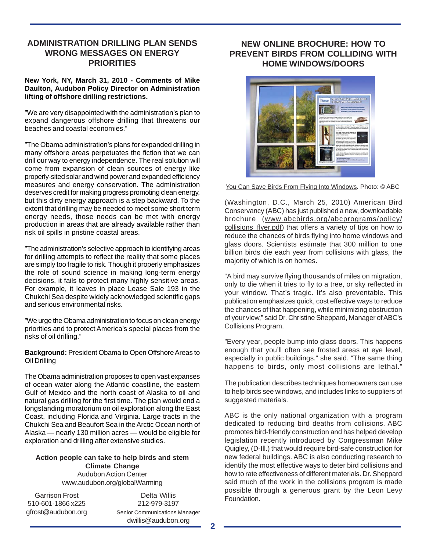## **ADMINISTRATION DRILLING PLAN SENDS WRONG MESSAGES ON ENERGY PRIORITIES**

#### **New York, NY, March 31, 2010 - Comments of Mike Daulton, Audubon Policy Director on Administration lifting of offshore drilling restrictions.**

"We are very disappointed with the administration's plan to expand dangerous offshore drilling that threatens our beaches and coastal economies."

"The Obama administration's plans for expanded drilling in many offshore areas perpetuates the fiction that we can drill our way to energy independence. The real solution will come from expansion of clean sources of energy like properly-sited solar and wind power and expanded efficiency measures and energy conservation. The administration deserves credit for making progress promoting clean energy, but this dirty energy approach is a step backward. To the extent that drilling may be needed to meet some short term energy needs, those needs can be met with energy production in areas that are already available rather than risk oil spills in pristine coastal areas.

"The administration's selective approach to identifying areas for drilling attempts to reflect the reality that some places are simply too fragile to risk. Though it properly emphasizes the role of sound science in making long-term energy decisions, it fails to protect many highly sensitive areas. For example, it leaves in place Lease Sale 193 in the Chukchi Sea despite widely acknowledged scientific gaps and serious environmental risks.

"We urge the Obama administration to focus on clean energy priorities and to protect America's special places from the risks of oil drilling."

**Background:** President Obama to Open Offshore Areas to Oil Drilling

The Obama administration proposes to open vast expanses of ocean water along the Atlantic coastline, the eastern Gulf of Mexico and the north coast of Alaska to oil and natural gas drilling for the first time. The plan would end a longstanding moratorium on oil exploration along the East Coast, including Florida and Virginia. Large tracts in the Chukchi Sea and Beaufort Sea in the Arctic Ocean north of Alaska — nearly 130 million acres — would be eligible for exploration and drilling after extensive studies.

#### **Action people can take to help birds and stem Climate Change** Audubon Action Center www.audubon.org/globalWarming

Garrison Frost 510-601-1866 x225 gfrost@audubon.org

Delta Willis 212-979-3197 Senior Communications Manager dwillis@audubon.org

## **NEW ONLINE BROCHURE: HOW TO PREVENT BIRDS FROM COLLIDING WITH HOME WINDOWS/DOORS**



You Can Save Birds From Flying Into Windows. Photo: © ABC

(Washington, D.C., March 25, 2010) American Bird Conservancy (ABC) has just published a new, downloadable brochure (www.abcbirds.org/abcprograms/policy/ collisions\_flyer.pdf) that offers a variety of tips on how to reduce the chances of birds flying into home windows and glass doors. Scientists estimate that 300 million to one billion birds die each year from collisions with glass, the majority of which is on homes.

"A bird may survive flying thousands of miles on migration, only to die when it tries to fly to a tree, or sky reflected in your window. That's tragic. It's also preventable. This publication emphasizes quick, cost effective ways to reduce the chances of that happening, while minimizing obstruction of your view," said Dr. Christine Sheppard, Manager of ABC's Collisions Program.

"Every year, people bump into glass doors. This happens enough that you'll often see frosted areas at eye level, especially in public buildings." she said. "The same thing happens to birds, only most collisions are lethal."

The publication describes techniques homeowners can use to help birds see windows, and includes links to suppliers of suggested materials.

ABC is the only national organization with a program dedicated to reducing bird deaths from collisions. ABC promotes bird-friendly construction and has helped develop legislation recently introduced by Congressman Mike Quigley, (D-Ill.) that would require bird-safe construction for new federal buildings. ABC is also conducting research to identify the most effective ways to deter bird collisions and how to rate effectiveness of different materials. Dr. Sheppard said much of the work in the collisions program is made possible through a generous grant by the Leon Levy Foundation.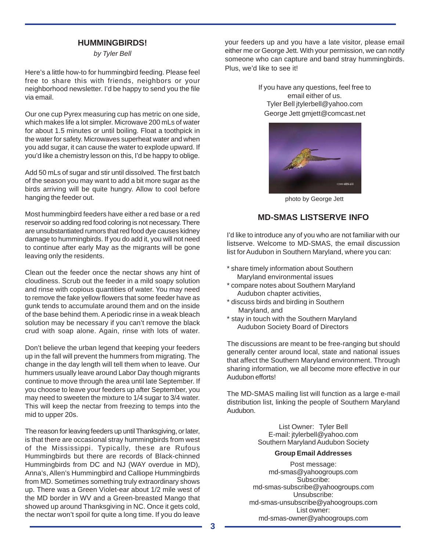### **HUMMINGBIRDS!**

*by Tyler Bell*

Here's a little how-to for hummingbird feeding. Please feel free to share this with friends, neighbors or your neighborhood newsletter. I'd be happy to send you the file via email.

Our one cup Pyrex measuring cup has metric on one side, which makes life a lot simpler. Microwave 200 mLs of water for about 1.5 minutes or until boiling. Float a toothpick in the water for safety. Microwaves superheat water and when you add sugar, it can cause the water to explode upward. If you'd like a chemistry lesson on this, I'd be happy to oblige.

Add 50 mLs of sugar and stir until dissolved. The first batch of the season you may want to add a bit more sugar as the birds arriving will be quite hungry. Allow to cool before hanging the feeder out.

Most hummingbird feeders have either a red base or a red reservoir so adding red food coloring is not necessary. There are unsubstantiated rumors that red food dye causes kidney damage to hummingbirds. If you do add it, you will not need to continue after early May as the migrants will be gone leaving only the residents.

Clean out the feeder once the nectar shows any hint of cloudiness. Scrub out the feeder in a mild soapy solution and rinse with copious quantities of water. You may need to remove the fake yellow flowers that some feeder have as gunk tends to accumulate around them and on the inside of the base behind them. A periodic rinse in a weak bleach solution may be necessary if you can't remove the black crud with soap alone. Again, rinse with lots of water.

Don't believe the urban legend that keeping your feeders up in the fall will prevent the hummers from migrating. The change in the day length will tell them when to leave. Our hummers usually leave around Labor Day though migrants continue to move through the area until late September. If you choose to leave your feeders up after September, you may need to sweeten the mixture to 1/4 sugar to 3/4 water. This will keep the nectar from freezing to temps into the mid to upper 20s.

The reason for leaving feeders up until Thanksgiving, or later, is that there are occasional stray hummingbirds from west of the Mississippi. Typically, these are Rufous Hummingbirds but there are records of Black-chinned Hummingbirds from DC and NJ (WAY overdue in MD), Anna's, Allen's Hummingbird and Calliope Hummingbirds from MD. Sometimes something truly extraordinary shows up. There was a Green Violet-ear about 1/2 mile west of the MD border in WV and a Green-breasted Mango that showed up around Thanksgiving in NC. Once it gets cold, the nectar won't spoil for quite a long time. If you do leave

your feeders up and you have a late visitor, please email either me or George Jett. With your permission, we can notify someone who can capture and band stray hummingbirds. Plus, we'd like to see it!

> If you have any questions, feel free to email either of us. Tyler Bell jtylerbell@yahoo.com George Jett gmjett@comcast.net



photo by George Jett

# **MD-SMAS LISTSERVE INFO**

I'd like to introduce any of you who are not familiar with our listserve. Welcome to MD-SMAS, the email discussion list for Audubon in Southern Maryland, where you can:

- \* share timely information about Southern Maryland environmental issues
- \* compare notes about Southern Maryland Audubon chapter activities,
- \* discuss birds and birding in Southern Maryland, and
- \* stay in touch with the Southern Maryland Audubon Society Board of Directors

The discussions are meant to be free-ranging but should generally center around local, state and national issues that affect the Southern Maryland environment. Through sharing information, we all become more effective in our Audubon efforts!

The MD-SMAS mailing list will function as a large e-mail distribution list, linking the people of Southern Maryland Audubon.

> List Owner: Tyler Bell E-mail: jtylerbell@yahoo.com Southern Maryland Audubon Society

#### **Group Email Addresses**

Post message: md-smas@yahoogroups.com Subscribe: md-smas-subscribe@yahoogroups.com Unsubscribe: md-smas-unsubscribe@yahoogroups.com List owner: md-smas-owner@yahoogroups.com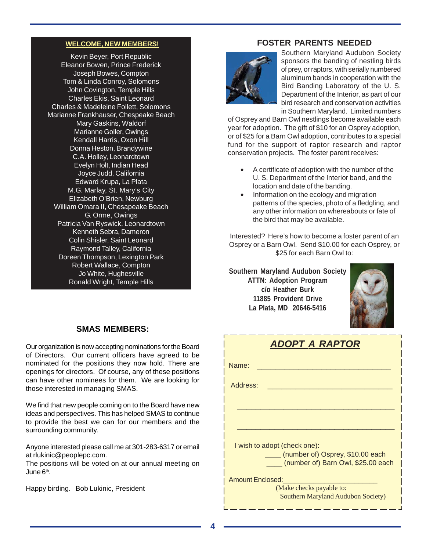#### **WELCOME, NEW MEMBERS!**

Kevin Beyer, Port Republic Eleanor Bowen, Prince Frederick Joseph Bowes, Compton Tom & Linda Conroy, Solomons John Covington, Temple Hills Charles Ekis, Saint Leonard Charles & Madeleine Follett, Solomons Marianne Frankhauser, Chespeake Beach Mary Gaskins, Waldorf Marianne Goller, Owings Kendall Harris, Oxon Hill Donna Heston, Brandywine C.A. Holley, Leonardtown Evelyn Holt, Indian Head Joyce Judd, California Edward Krupa, La Plata M.G. Marlay, St. Mary's City Elizabeth O'Brien, Newburg William Omara II, Chesapeake Beach G. Orme, Owings Patricia Van Ryswick, Leonardtown Kenneth Sebra, Dameron Colin Shisler, Saint Leonard Raymond Talley, California Doreen Thompson, Lexington Park Robert Wallace, Compton Jo White, Hughesville Ronald Wright, Temple Hills

# **FOSTER PARENTS NEEDED**



Southern Maryland Audubon Society sponsors the banding of nestling birds of prey, or raptors, with serially numbered aluminum bands in cooperation with the Bird Banding Laboratory of the U. S. Department of the Interior, as part of our bird research and conservation activities in Southern Maryland. Limited numbers

of Osprey and Barn Owl nestlings become available each year for adoption. The gift of \$10 for an Osprey adoption, or of \$25 for a Barn Owl adoption, contributes to a special fund for the support of raptor research and raptor conservation projects. The foster parent receives:

- A certificate of adoption with the number of the U. S. Department of the Interior band, and the location and date of the banding.
- Information on the ecology and migration patterns of the species, photo of a fledgling, and any other information on whereabouts or fate of the bird that may be available.

Interested? Here's how to become a foster parent of an Osprey or a Barn Owl. Send \$10.00 for each Osprey, or \$25 for each Barn Owl to:

**Southern Maryland Audubon Society ATTN: Adoption Program c/o Heather Burk 11885 Provident Drive La Plata, MD 20646-5416**



## **SMAS MEMBERS:**

Our organization is now accepting nominations for the Board of Directors. Our current officers have agreed to be nominated for the positions they now hold. There are openings for directors. Of course, any of these positions can have other nominees for them. We are looking for those interested in managing SMAS.

We find that new people coming on to the Board have new ideas and perspectives. This has helped SMAS to continue to provide the best we can for our members and the surrounding community.

Anyone interested please call me at 301-283-6317 or email at rlukinic@peoplepc.com.

The positions will be voted on at our annual meeting on June 6<sup>th</sup>.

Happy birding. Bob Lukinic, President

| ADOPT A RAPTOR                                                         |  |  |  |  |  |
|------------------------------------------------------------------------|--|--|--|--|--|
| Name:                                                                  |  |  |  |  |  |
| Address:                                                               |  |  |  |  |  |
|                                                                        |  |  |  |  |  |
|                                                                        |  |  |  |  |  |
| I wish to adopt (check one):                                           |  |  |  |  |  |
| (number of) Osprey, \$10.00 each<br>(number of) Barn Owl, \$25.00 each |  |  |  |  |  |
| Amount Enclosed:                                                       |  |  |  |  |  |
| (Make checks payable to:<br>Southern Maryland Audubon Society)         |  |  |  |  |  |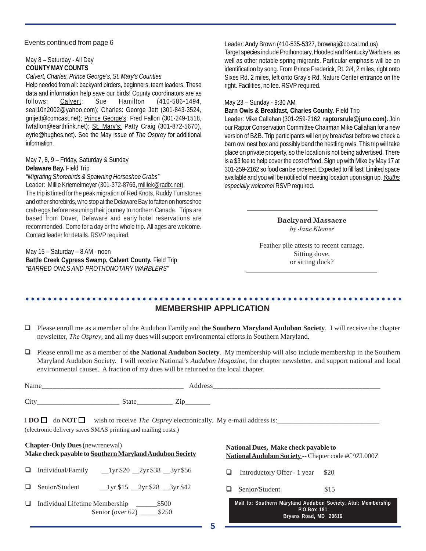#### Events continued from page 6

#### May 8 – Saturday - All Day **COUNTY MAY COUNTS**

*Calvert, Charles, Prince George's, St. Mary's Counties*

Help needed from all: backyard birders, beginners, team leaders. These data and information help save our birds! County coordinators are as follows: Calvert: Sue Hamilton (410-586-1494, seal10n2002@yahoo.com); Charles: George Jett (301-843-3524, gmjett@comcast.net); Prince George's: Fred Fallon (301-249-1518, fwfallon@earthlink.net); St. Mary's: Patty Craig (301-872-5670), eyrie@hughes.net). See the May issue of *The Osprey* for additional information.

# May 7, 8, 9 – Friday, Saturday & Sunday

## **Delaware Bay.** Field Trip

*"Migrating Shorebirds & Spawning Horseshoe Crabs"*

Leader: Millie Kriemelmeyer (301-372-8766, milliek@radix.net). The trip is timed for the peak migration of Red Knots, Ruddy Turnstones and other shorebirds, who stop at the Delaware Bay to fatten on horseshoe crab eggs before resuming their journey to northern Canada. Trips are based from Dover, Delaware and early hotel reservations are recommended. Come for a day or the whole trip. All ages are welcome. Contact leader for details. RSVP required.

May 15 – Saturday – 8 AM - noon **Battle Creek Cypress Swamp, Calvert County.** Field Trip *"BARRED OWLS AND PROTHONOTARY WARBLERS"*

Leader: Andy Brown (410-535-5327, brownaj@co.cal.md.us) Target species include Prothonotary, Hooded and Kentucky Warblers, as well as other notable spring migrants. Particular emphasis will be on identification by song. From Prince Frederick, Rt. 2/4, 2 miles, right onto Sixes Rd. 2 miles, left onto Gray's Rd. Nature Center entrance on the right. Facilities, no fee. RSVP required.

#### May 23 – Sunday - 9:30 AM

**Barn Owls & Breakfast, Charles County.** Field Trip

Leader: Mike Callahan (301-259-2162, **raptorsrule@juno.com).** Join our Raptor Conservation Committee Chairman Mike Callahan for a new version of B&B. Trip participants will enjoy breakfast before we check a barn owl nest box and possibly band the nestling owls. This trip will take place on private property, so the location is not being advertised. There is a \$3 fee to help cover the cost of food. Sign up with Mike by May 17 at 301-259-2162 so food can be ordered. Expected to fill fast! Limited space available and you will be notified of meeting location upon sign up. *Youths especially welcome!* RSVP required.

> **Backyard Massacre** *by Jane Klemer*

Feather pile attests to recent carnage. Sitting dove, or sitting duck?

#### ○○○○○○○○○○○○○○○○○○○○○○○○○○○○○○○○○○○○○○○○○○○○ ○○○○○○○○○○○○○○○○○○○○○○○○ **MEMBERSHIP APPLICATION**

- Please enroll me as a member of the Audubon Family and **the Southern Maryland Audubon Society**. I will receive the chapter newsletter, *The Osprey*, and all my dues will support environmental efforts in Southern Maryland.
- Please enroll me as a member of **the National Audubon Society**. My membership will also include membership in the Southern Maryland Audubon Society. I will receive National's *Audubon Magazine*, the chapter newsletter, and support national and local environmental causes. A fraction of my dues will be returned to the local chapter.

| Nam. |                      |                     |
|------|----------------------|---------------------|
| Cit  | state<br>___________ | -<br>痴<br>_________ |

 $\text{I} \text{DO} \square \text{ do } \text{NOT} \square \text{ wish to receive } \text{The } \text{Osprey}$  electronically. My e-mail address is: (electronic delivery saves SMAS printing and mailing costs.)

# **Chapter-Only Dues** (new/renewal) **Make check payable to Southern Maryland Audubon Society**

- $\Box$  Individual/Family  $\Box$ 1yr \$20  $\Box$ 2yr \$38  $\Box$ 3yr \$56
- $\Box$  Senior/Student  $\Box$ 1yr \$15  $\Box$ 2yr \$28  $\Box$ 3yr \$42
- Individual Lifetime Membership \_\_\_\_\_\_\$500 Senior (over 62) \$250

**National Dues, Make check payable to National Audubon Society** -- Chapter code #C9ZL000Z

 $\Box$  Introductory Offer - 1 year \$20

 $\Box$  Senior/Student \$15

|             |  |  |                       |  |  |  |  | Mail to: Southern Maryland Audubon Society, Attn: Membership |  |
|-------------|--|--|-----------------------|--|--|--|--|--------------------------------------------------------------|--|
| P.O.Box 181 |  |  |                       |  |  |  |  |                                                              |  |
|             |  |  | Bryans Road, MD 20616 |  |  |  |  |                                                              |  |